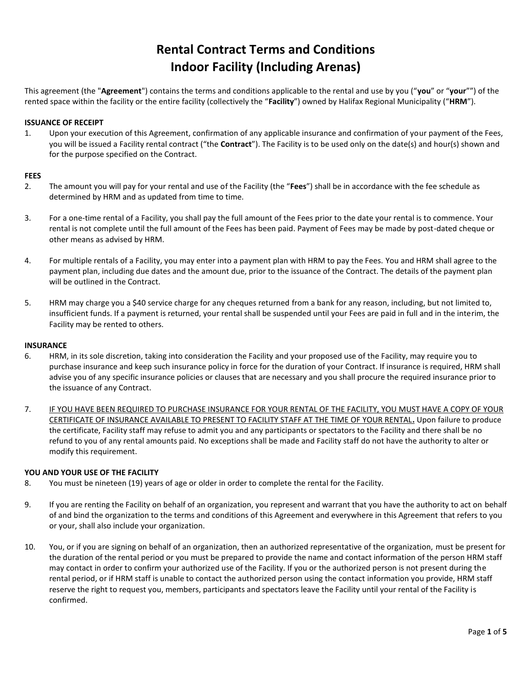# **Rental Contract Terms and Conditions Indoor Facility (Including Arenas)**

This agreement (the "**Agreement**") contains the terms and conditions applicable to the rental and use by you ("**you**" or "**your**"") of the rented space within the facility or the entire facility (collectively the "**Facility**") owned by Halifax Regional Municipality ("**HRM**").

## **ISSUANCE OF RECEIPT**

1. Upon your execution of this Agreement, confirmation of any applicable insurance and confirmation of your payment of the Fees, you will be issued a Facility rental contract ("the **Contract**"). The Facility is to be used only on the date(s) and hour(s) shown and for the purpose specified on the Contract.

## **FEES**

- 2. The amount you will pay for your rental and use of the Facility (the "**Fees**") shall be in accordance with the fee schedule as determined by HRM and as updated from time to time.
- 3. For a one-time rental of a Facility, you shall pay the full amount of the Fees prior to the date your rental is to commence. Your rental is not complete until the full amount of the Fees has been paid. Payment of Fees may be made by post-dated cheque or other means as advised by HRM.
- 4. For multiple rentals of a Facility, you may enter into a payment plan with HRM to pay the Fees. You and HRM shall agree to the payment plan, including due dates and the amount due, prior to the issuance of the Contract. The details of the payment plan will be outlined in the Contract.
- 5. HRM may charge you a \$40 service charge for any cheques returned from a bank for any reason, including, but not limited to, insufficient funds. If a payment is returned, your rental shall be suspended until your Fees are paid in full and in the interim, the Facility may be rented to others.

## **INSURANCE**

- 6. HRM, in its sole discretion, taking into consideration the Facility and your proposed use of the Facility, may require you to purchase insurance and keep such insurance policy in force for the duration of your Contract. If insurance is required, HRM shall advise you of any specific insurance policies or clauses that are necessary and you shall procure the required insurance prior to the issuance of any Contract.
- 7. IF YOU HAVE BEEN REQUIRED TO PURCHASE INSURANCE FOR YOUR RENTAL OF THE FACILITY, YOU MUST HAVE A COPY OF YOUR CERTIFICATE OF INSURANCE AVAILABLE TO PRESENT TO FACILITY STAFF AT THE TIME OF YOUR RENTAL**.** Upon failure to produce the certificate, Facility staff may refuse to admit you and any participants or spectators to the Facility and there shall be no refund to you of any rental amounts paid. No exceptions shall be made and Facility staff do not have the authority to alter or modify this requirement.

# **YOU AND YOUR USE OF THE FACILITY**

- 8. You must be nineteen (19) years of age or older in order to complete the rental for the Facility.
- 9. If you are renting the Facility on behalf of an organization, you represent and warrant that you have the authority to act on behalf of and bind the organization to the terms and conditions of this Agreement and everywhere in this Agreement that refers to you or your, shall also include your organization.
- 10. You, or if you are signing on behalf of an organization, then an authorized representative of the organization, must be present for the duration of the rental period or you must be prepared to provide the name and contact information of the person HRM staff may contact in order to confirm your authorized use of the Facility. If you or the authorized person is not present during the rental period, or if HRM staff is unable to contact the authorized person using the contact information you provide, HRM staff reserve the right to request you, members, participants and spectators leave the Facility until your rental of the Facility is confirmed.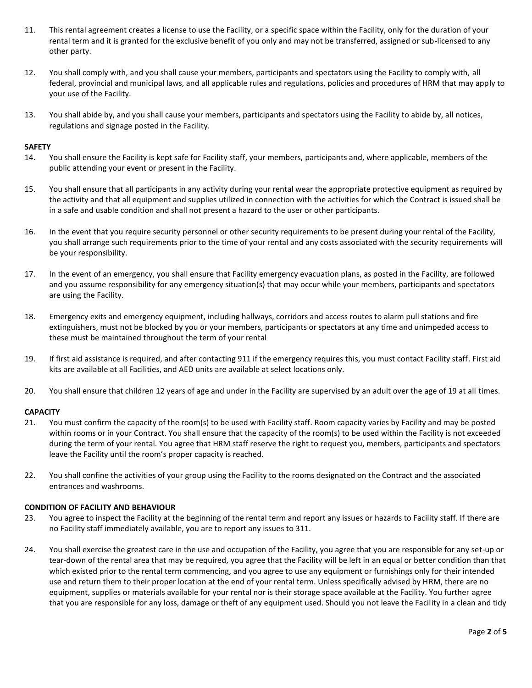- 11. This rental agreement creates a license to use the Facility, or a specific space within the Facility, only for the duration of your rental term and it is granted for the exclusive benefit of you only and may not be transferred, assigned or sub-licensed to any other party.
- 12. You shall comply with, and you shall cause your members, participants and spectators using the Facility to comply with, all federal, provincial and municipal laws, and all applicable rules and regulations, policies and procedures of HRM that may apply to your use of the Facility.
- 13. You shall abide by, and you shall cause your members, participants and spectators using the Facility to abide by, all notices, regulations and signage posted in the Facility.

## **SAFETY**

- 14. You shall ensure the Facility is kept safe for Facility staff, your members, participants and, where applicable, members of the public attending your event or present in the Facility.
- 15. You shall ensure that all participants in any activity during your rental wear the appropriate protective equipment as required by the activity and that all equipment and supplies utilized in connection with the activities for which the Contract is issued shall be in a safe and usable condition and shall not present a hazard to the user or other participants.
- 16. In the event that you require security personnel or other security requirements to be present during your rental of the Facility, you shall arrange such requirements prior to the time of your rental and any costs associated with the security requirements will be your responsibility.
- 17. In the event of an emergency, you shall ensure that Facility emergency evacuation plans, as posted in the Facility, are followed and you assume responsibility for any emergency situation(s) that may occur while your members, participants and spectators are using the Facility.
- 18. Emergency exits and emergency equipment, including hallways, corridors and access routes to alarm pull stations and fire extinguishers, must not be blocked by you or your members, participants or spectators at any time and unimpeded access to these must be maintained throughout the term of your rental
- 19. If first aid assistance is required, and after contacting 911 if the emergency requires this, you must contact Facility staff. First aid kits are available at all Facilities, and AED units are available at select locations only.
- 20. You shall ensure that children 12 years of age and under in the Facility are supervised by an adult over the age of 19 at all times.

# **CAPACITY**

- 21. You must confirm the capacity of the room(s) to be used with Facility staff. Room capacity varies by Facility and may be posted within rooms or in your Contract. You shall ensure that the capacity of the room(s) to be used within the Facility is not exceeded during the term of your rental. You agree that HRM staff reserve the right to request you, members, participants and spectators leave the Facility until the room's proper capacity is reached.
- 22. You shall confine the activities of your group using the Facility to the rooms designated on the Contract and the associated entrances and washrooms.

## **CONDITION OF FACILITY AND BEHAVIOUR**

- 23. You agree to inspect the Facility at the beginning of the rental term and report any issues or hazards to Facility staff. If there are no Facility staff immediately available, you are to report any issues to 311.
- 24. You shall exercise the greatest care in the use and occupation of the Facility, you agree that you are responsible for any set-up or tear-down of the rental area that may be required, you agree that the Facility will be left in an equal or better condition than that which existed prior to the rental term commencing, and you agree to use any equipment or furnishings only for their intended use and return them to their proper location at the end of your rental term. Unless specifically advised by HRM, there are no equipment, supplies or materials available for your rental nor is their storage space available at the Facility. You further agree that you are responsible for any loss, damage or theft of any equipment used. Should you not leave the Facility in a clean and tidy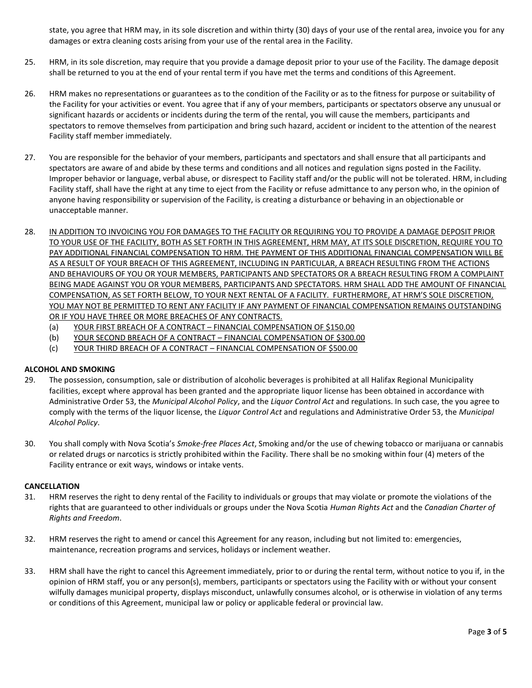state, you agree that HRM may, in its sole discretion and within thirty (30) days of your use of the rental area, invoice you for any damages or extra cleaning costs arising from your use of the rental area in the Facility.

- 25. HRM, in its sole discretion, may require that you provide a damage deposit prior to your use of the Facility. The damage deposit shall be returned to you at the end of your rental term if you have met the terms and conditions of this Agreement.
- 26. HRM makes no representations or guarantees as to the condition of the Facility or as to the fitness for purpose or suitability of the Facility for your activities or event. You agree that if any of your members, participants or spectators observe any unusual or significant hazards or accidents or incidents during the term of the rental, you will cause the members, participants and spectators to remove themselves from participation and bring such hazard, accident or incident to the attention of the nearest Facility staff member immediately.
- 27. You are responsible for the behavior of your members, participants and spectators and shall ensure that all participants and spectators are aware of and abide by these terms and conditions and all notices and regulation signs posted in the Facility. Improper behavior or language, verbal abuse, or disrespect to Facility staff and/or the public will not be tolerated. HRM, including Facility staff, shall have the right at any time to eject from the Facility or refuse admittance to any person who, in the opinion of anyone having responsibility or supervision of the Facility, is creating a disturbance or behaving in an objectionable or unacceptable manner.
- 28. IN ADDITION TO INVOICING YOU FOR DAMAGES TO THE FACILITY OR REQUIRING YOU TO PROVIDE A DAMAGE DEPOSIT PRIOR TO YOUR USE OF THE FACILITY, BOTH AS SET FORTH IN THIS AGREEMENT, HRM MAY, AT ITS SOLE DISCRETION, REQUIRE YOU TO PAY ADDITIONAL FINANCIAL COMPENSATION TO HRM. THE PAYMENT OF THIS ADDITIONAL FINANCIAL COMPENSATION WILL BE AS A RESULT OF YOUR BREACH OF THIS AGREEMENT, INCLUDING IN PARTICULAR, A BREACH RESULTING FROM THE ACTIONS AND BEHAVIOURS OF YOU OR YOUR MEMBERS, PARTICIPANTS AND SPECTATORS OR A BREACH RESULTING FROM A COMPLAINT BEING MADE AGAINST YOU OR YOUR MEMBERS, PARTICIPANTS AND SPECTATORS. HRM SHALL ADD THE AMOUNT OF FINANCIAL COMPENSATION, AS SET FORTH BELOW, TO YOUR NEXT RENTAL OF A FACILITY. FURTHERMORE, AT HRM'S SOLE DISCRETION, YOU MAY NOT BE PERMITTED TO RENT ANY FACILITY IF ANY PAYMENT OF FINANCIAL COMPENSATION REMAINS OUTSTANDING OR IF YOU HAVE THREE OR MORE BREACHES OF ANY CONTRACTS.
	- (a) YOUR FIRST BREACH OF A CONTRACT FINANCIAL COMPENSATION OF \$150.00
	- (b) YOUR SECOND BREACH OF A CONTRACT FINANCIAL COMPENSATION OF \$300.00
	- (c) YOUR THIRD BREACH OF A CONTRACT FINANCIAL COMPENSATION OF \$500.00

# **ALCOHOL AND SMOKING**

- 29. The possession, consumption, sale or distribution of alcoholic beverages is prohibited at all Halifax Regional Municipality facilities, except where approval has been granted and the appropriate liquor license has been obtained in accordance with Administrative Order 53, the *Municipal Alcohol Policy*, and the *Liquor Control Act* and regulations. In such case, the you agree to comply with the terms of the liquor license, the *Liquor Control Act* and regulations and Administrative Order 53, the *Municipal Alcohol Policy*.
- 30. You shall comply with Nova Scotia's *Smoke-free Places Act*, Smoking and/or the use of chewing tobacco or marijuana or cannabis or related drugs or narcotics is strictly prohibited within the Facility. There shall be no smoking within four (4) meters of the Facility entrance or exit ways, windows or intake vents.

# **CANCELLATION**

- 31. HRM reserves the right to deny rental of the Facility to individuals or groups that may violate or promote the violations of the rights that are guaranteed to other individuals or groups under the Nova Scotia *Human Rights Act* and the *Canadian Charter of Rights and Freedom*.
- 32. HRM reserves the right to amend or cancel this Agreement for any reason, including but not limited to: emergencies, maintenance, recreation programs and services, holidays or inclement weather.
- 33. HRM shall have the right to cancel this Agreement immediately, prior to or during the rental term, without notice to you if, in the opinion of HRM staff, you or any person(s), members, participants or spectators using the Facility with or without your consent wilfully damages municipal property, displays misconduct, unlawfully consumes alcohol, or is otherwise in violation of any terms or conditions of this Agreement, municipal law or policy or applicable federal or provincial law.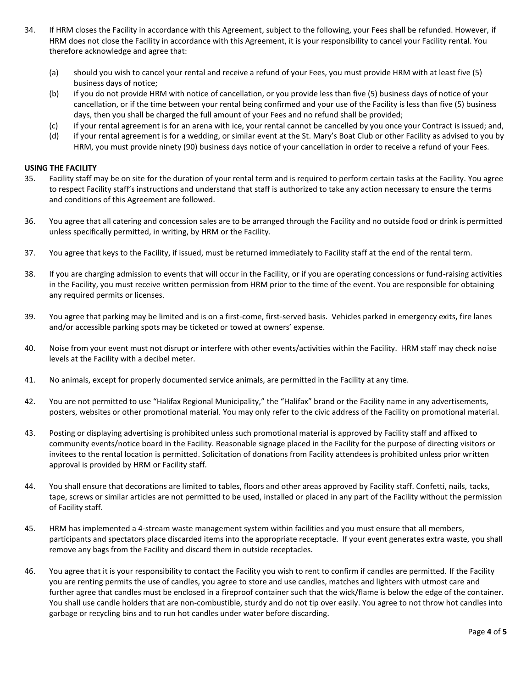- 34. If HRM closes the Facility in accordance with this Agreement, subject to the following, your Fees shall be refunded. However, if HRM does not close the Facility in accordance with this Agreement, it is your responsibility to cancel your Facility rental. You therefore acknowledge and agree that:
	- (a) should you wish to cancel your rental and receive a refund of your Fees, you must provide HRM with at least five (5) business days of notice;
	- (b) if you do not provide HRM with notice of cancellation, or you provide less than five (5) business days of notice of your cancellation, or if the time between your rental being confirmed and your use of the Facility is less than five (5) business days, then you shall be charged the full amount of your Fees and no refund shall be provided;
	- (c) if your rental agreement is for an arena with ice, your rental cannot be cancelled by you once your Contract is issued; and,
	- (d) if your rental agreement is for a wedding, or similar event at the St. Mary's Boat Club or other Facility as advised to you by HRM, you must provide ninety (90) business days notice of your cancellation in order to receive a refund of your Fees.

#### **USING THE FACILITY**

- 35. Facility staff may be on site for the duration of your rental term and is required to perform certain tasks at the Facility. You agree to respect Facility staff's instructions and understand that staff is authorized to take any action necessary to ensure the terms and conditions of this Agreement are followed.
- 36. You agree that all catering and concession sales are to be arranged through the Facility and no outside food or drink is permitted unless specifically permitted, in writing, by HRM or the Facility.
- 37. You agree that keys to the Facility, if issued, must be returned immediately to Facility staff at the end of the rental term.
- 38. If you are charging admission to events that will occur in the Facility, or if you are operating concessions or fund-raising activities in the Facility, you must receive written permission from HRM prior to the time of the event. You are responsible for obtaining any required permits or licenses.
- 39. You agree that parking may be limited and is on a first-come, first-served basis. Vehicles parked in emergency exits, fire lanes and/or accessible parking spots may be ticketed or towed at owners' expense.
- 40. Noise from your event must not disrupt or interfere with other events/activities within the Facility. HRM staff may check noise levels at the Facility with a decibel meter.
- 41. No animals, except for properly documented service animals, are permitted in the Facility at any time.
- 42. You are not permitted to use "Halifax Regional Municipality," the "Halifax" brand or the Facility name in any advertisements, posters, websites or other promotional material. You may only refer to the civic address of the Facility on promotional material.
- 43. Posting or displaying advertising is prohibited unless such promotional material is approved by Facility staff and affixed to community events/notice board in the Facility. Reasonable signage placed in the Facility for the purpose of directing visitors or invitees to the rental location is permitted. Solicitation of donations from Facility attendees is prohibited unless prior written approval is provided by HRM or Facility staff.
- 44. You shall ensure that decorations are limited to tables, floors and other areas approved by Facility staff. Confetti, nails, tacks, tape, screws or similar articles are not permitted to be used, installed or placed in any part of the Facility without the permission of Facility staff.
- 45. HRM has implemented a 4-stream waste management system within facilities and you must ensure that all members, participants and spectators place discarded items into the appropriate receptacle. If your event generates extra waste, you shall remove any bags from the Facility and discard them in outside receptacles.
- 46. You agree that it is your responsibility to contact the Facility you wish to rent to confirm if candles are permitted. If the Facility you are renting permits the use of candles, you agree to store and use candles, matches and lighters with utmost care and further agree that candles must be enclosed in a fireproof container such that the wick/flame is below the edge of the container. You shall use candle holders that are non-combustible, sturdy and do not tip over easily. You agree to not throw hot candles into garbage or recycling bins and to run hot candles under water before discarding.